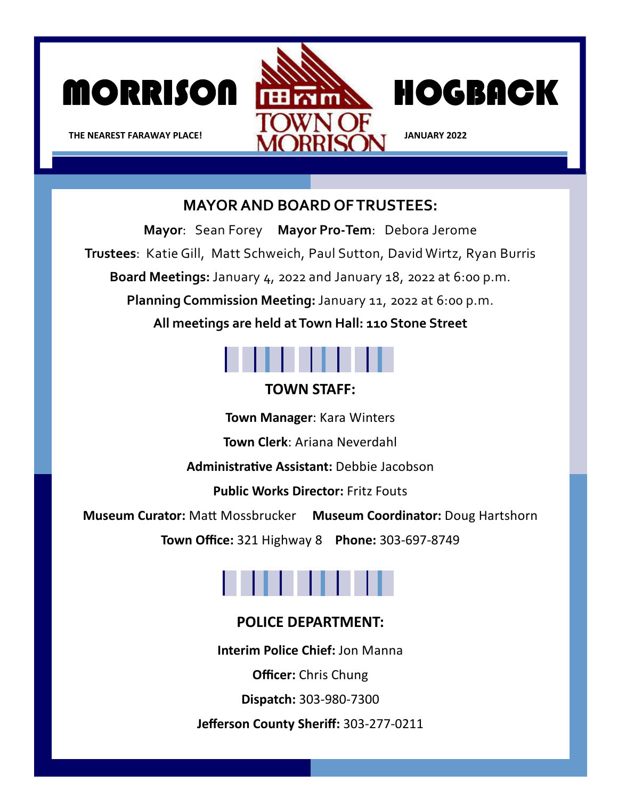



**THE NEAREST FARAWAY PLACE! IF AND THE NEAREST FARAWAY PLACE!** 

## **MAYOR AND BOARD OF TRUSTEES:**

**Mayor**: Sean Forey **Mayor Pro‐Tem**: Debora Jerome **Trustees**: Katie Gill, Matt Schweich, Paul Sutton, David Wirtz, Ryan Burris **Board Meetings:** January 4, 2022 and January 18, 2022 at 6:00 p.m. **Planning Commission Meeting:** January 11, 2022 at 6:00 p.m. **All meetings are held at Town Hall: 110 Stone Street** 



## **TOWN STAFF:**

**Town Manager**: Kara Winters

**Town Clerk**: Ariana Neverdahl

**AdministraƟve Assistant:** Debbie Jacobson

**Public Works Director:** Fritz Fouts

**Museum Curator:** MaƩ Mossbrucker **Museum Coordinator:** Doug Hartshorn

**Town Office:** 321 Highway 8 **Phone:** 303‐697‐8749

## **POLICE DEPARTMENT:**

**Interim Police Chief:** Jon Manna

**Officer:** Chris Chung

**Dispatch:** 303‐980‐7300

**Jefferson County Sheriff:** 303‐277‐0211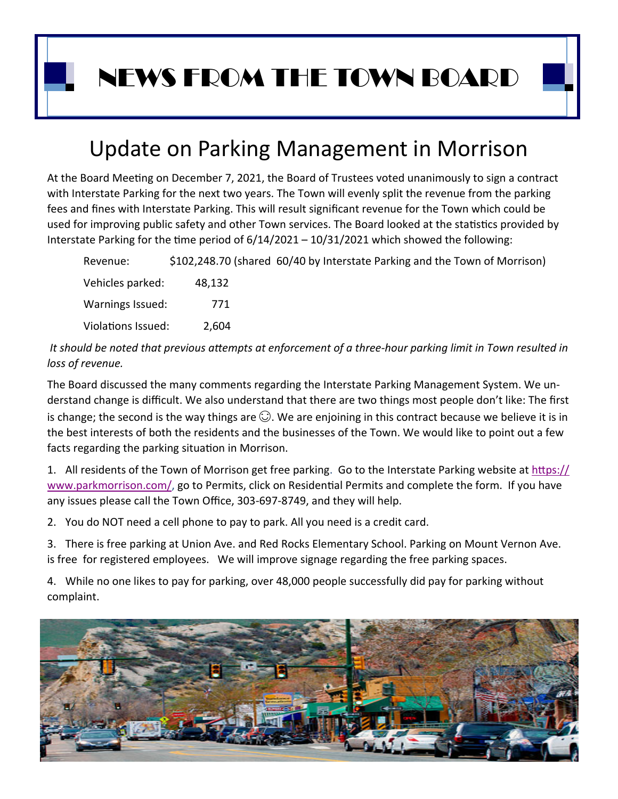NEWS FROM THE TOWN BOARD

## Update on Parking Management in Morrison

At the Board Meeting on December 7, 2021, the Board of Trustees voted unanimously to sign a contract with Interstate Parking for the next two years. The Town will evenly split the revenue from the parking fees and fines with Interstate Parking. This will result significant revenue for the Town which could be used for improving public safety and other Town services. The Board looked at the statistics provided by Interstate Parking for the time period of  $6/14/2021 - 10/31/2021$  which showed the following:

 Revenue: \$102,248.70 (shared 60/40 by Interstate Parking and the Town of Morrison) Vehicles parked: 48,132 Warnings Issued: 771 Violations Issued: 2,604

 *It should be noted that previous aƩempts at enforcement of a three‐hour parking limit in Town resulted in loss of revenue.*

The Board discussed the many comments regarding the Interstate Parking Management System. We un‐ derstand change is difficult. We also understand that there are two things most people don't like: The first is change; the second is the way things are  $\mathbb{O}$ . We are enjoining in this contract because we believe it is in the best interests of both the residents and the businesses of the Town. We would like to point out a few facts regarding the parking situation in Morrison.

1. All residents of the Town of Morrison get free parking. Go to the Interstate Parking website at https:// www.parkmorrison.com/, go to Permits, click on Residential Permits and complete the form. If you have any issues please call the Town Office, 303‐697‐8749, and they will help.

2. You do NOT need a cell phone to pay to park. All you need is a credit card.

3. There is free parking at Union Ave. and Red Rocks Elementary School. Parking on Mount Vernon Ave. is free for registered employees. We will improve signage regarding the free parking spaces.

4. While no one likes to pay for parking, over 48,000 people successfully did pay for parking without complaint.

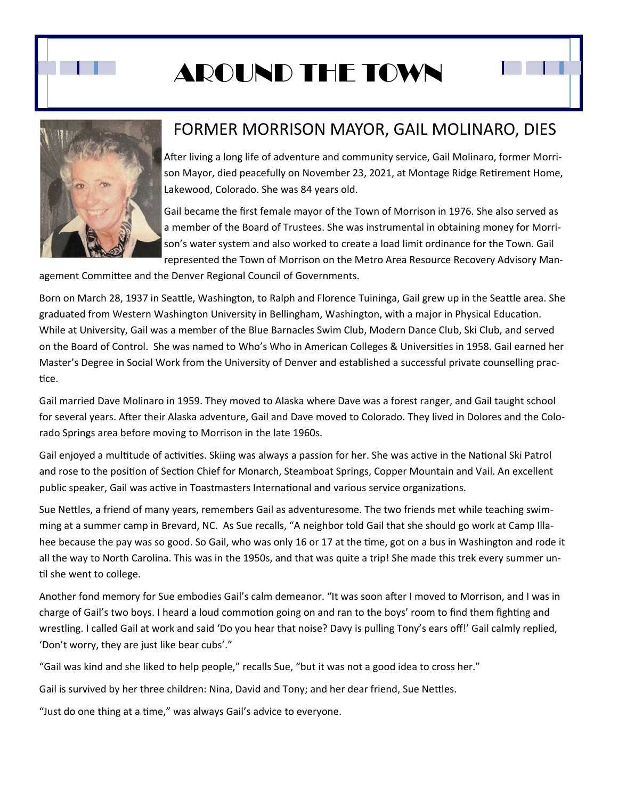

# AROUND THE TOWN



## FORMER MORRISON MAYOR, GAIL MOLINARO, DIES

After living a long life of adventure and community service, Gail Molinaro, former Morrison Mayor, died peacefully on November 23, 2021, at Montage Ridge Retirement Home, Lakewood, Colorado. She was 84 years old.

Gail became the first female mayor of the Town of Morrison in 1976. She also served as a member of the Board of Trustees. She was instrumental in obtaining money for Morri‐ son's water system and also worked to create a load limit ordinance for the Town. Gail represented the Town of Morrison on the Metro Area Resource Recovery Advisory Man‐

agement Committee and the Denver Regional Council of Governments.

Born on March 28, 1937 in Seattle, Washington, to Ralph and Florence Tuininga, Gail grew up in the Seattle area. She graduated from Western Washington University in Bellingham, Washington, with a major in Physical Education. While at University, Gail was a member of the Blue Barnacles Swim Club, Modern Dance Club, Ski Club, and served on the Board of Control. She was named to Who's Who in American Colleges & Universities in 1958. Gail earned her Master's Degree in Social Work from the University of Denver and established a successful private counselling prac‐ tice.

Gail married Dave Molinaro in 1959. They moved to Alaska where Dave was a forest ranger, and Gail taught school for several years. After their Alaska adventure, Gail and Dave moved to Colorado. They lived in Dolores and the Colorado Springs area before moving to Morrison in the late 1960s.

Gail enjoyed a multitude of activities. Skiing was always a passion for her. She was active in the National Ski Patrol and rose to the position of Section Chief for Monarch, Steamboat Springs, Copper Mountain and Vail. An excellent public speaker, Gail was active in Toastmasters International and various service organizations.

Sue Nettles, a friend of many years, remembers Gail as adventuresome. The two friends met while teaching swimming at a summer camp in Brevard, NC. As Sue recalls, "A neighbor told Gail that she should go work at Camp Illa‐ hee because the pay was so good. So Gail, who was only 16 or 17 at the time, got on a bus in Washington and rode it all the way to North Carolina. This was in the 1950s, and that was quite a trip! She made this trek every summer un‐ til she went to college.

Another fond memory for Sue embodies Gail's calm demeanor. "It was soon after I moved to Morrison, and I was in charge of Gail's two boys. I heard a loud commotion going on and ran to the boys' room to find them fighting and wrestling. I called Gail at work and said 'Do you hear that noise? Davy is pulling Tony's ears off!' Gail calmly replied, 'Don't worry, they are just like bear cubs'."

"Gail was kind and she liked to help people," recalls Sue, "but it was not a good idea to cross her."

Gail is survived by her three children: Nina, David and Tony; and her dear friend, Sue Nettles.

"Just do one thing at a time," was always Gail's advice to everyone.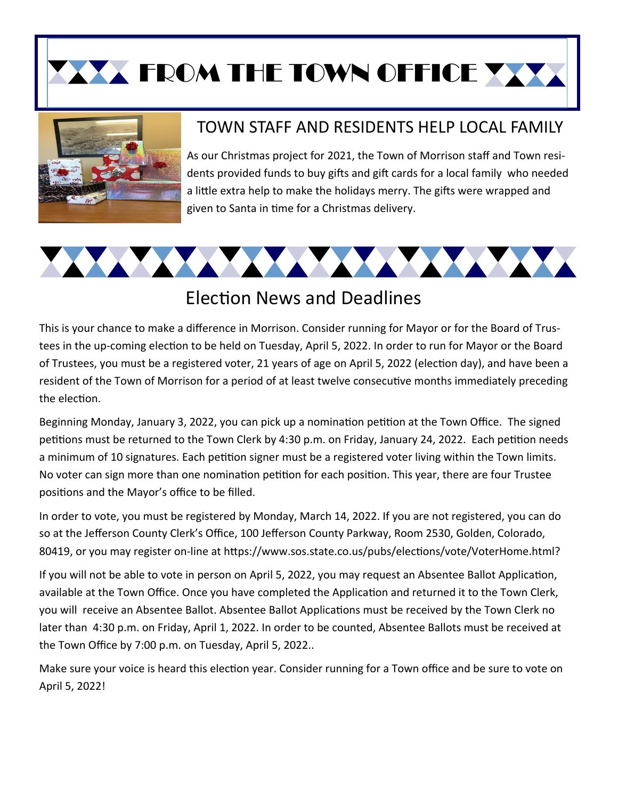**XX FROM THE TOWN OFFICE XXX** 



## TOWN STAFF AND RESIDENTS HELP LOCAL FAMILY

As our Christmas project for 2021, the Town of Morrison staff and Town resi‐ dents provided funds to buy gifts and gift cards for a local family who needed a little extra help to make the holidays merry. The gifts were wrapped and given to Santa in time for a Christmas delivery.



## Election News and Deadlines

This is your chance to make a difference in Morrison. Consider running for Mayor or for the Board of Trus‐ tees in the up-coming election to be held on Tuesday, April 5, 2022. In order to run for Mayor or the Board of Trustees, you must be a registered voter, 21 years of age on April 5, 2022 (election day), and have been a resident of the Town of Morrison for a period of at least twelve consecutive months immediately preceding the election.

Beginning Monday, January 3, 2022, you can pick up a nomination petition at the Town Office. The signed petitions must be returned to the Town Clerk by 4:30 p.m. on Friday, January 24, 2022. Each petition needs a minimum of 10 signatures. Each petition signer must be a registered voter living within the Town limits. No voter can sign more than one nomination petition for each position. This year, there are four Trustee positions and the Mayor's office to be filled.

In order to vote, you must be registered by Monday, March 14, 2022. If you are not registered, you can do so at the Jefferson County Clerk's Office, 100 Jefferson County Parkway, Room 2530, Golden, Colorado, 80419, or you may register on-line at https://www.sos.state.co.us/pubs/elections/vote/VoterHome.html?

If you will not be able to vote in person on April 5, 2022, you may request an Absentee Ballot Application, available at the Town Office. Once you have completed the Application and returned it to the Town Clerk, you will receive an Absentee Ballot. Absentee Ballot Applications must be received by the Town Clerk no later than 4:30 p.m. on Friday, April 1, 2022. In order to be counted, Absentee Ballots must be received at the Town Office by 7:00 p.m. on Tuesday, April 5, 2022..

Make sure your voice is heard this election year. Consider running for a Town office and be sure to vote on April 5, 2022!